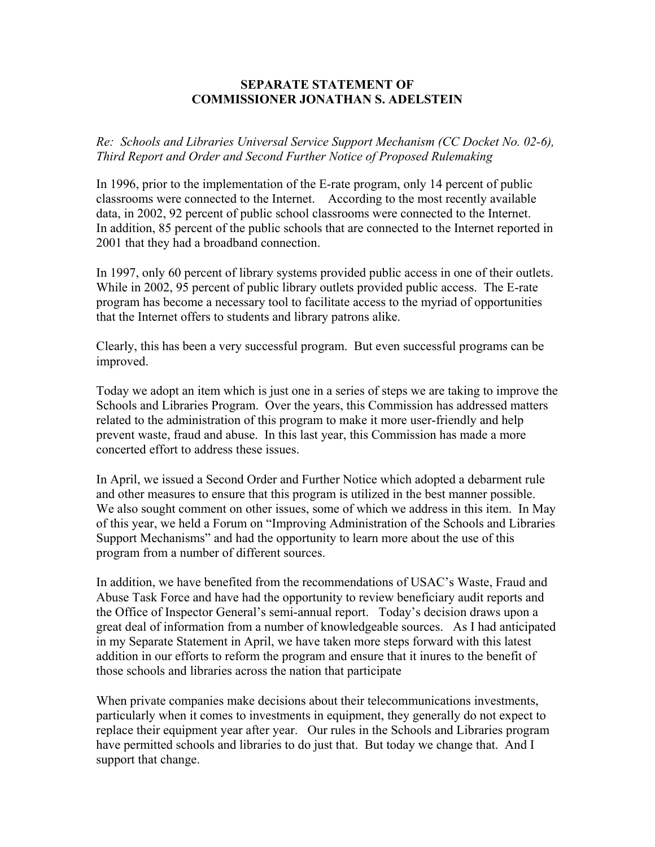## **SEPARATE STATEMENT OF COMMISSIONER JONATHAN S. ADELSTEIN**

*Re: Schools and Libraries Universal Service Support Mechanism (CC Docket No. 02-6), Third Report and Order and Second Further Notice of Proposed Rulemaking*

In 1996, prior to the implementation of the E-rate program, only 14 percent of public classrooms were connected to the Internet. According to the most recently available data, in 2002, 92 percent of public school classrooms were connected to the Internet. In addition, 85 percent of the public schools that are connected to the Internet reported in 2001 that they had a broadband connection.

In 1997, only 60 percent of library systems provided public access in one of their outlets. While in 2002, 95 percent of public library outlets provided public access. The E-rate program has become a necessary tool to facilitate access to the myriad of opportunities that the Internet offers to students and library patrons alike.

Clearly, this has been a very successful program. But even successful programs can be improved.

Today we adopt an item which is just one in a series of steps we are taking to improve the Schools and Libraries Program. Over the years, this Commission has addressed matters related to the administration of this program to make it more user-friendly and help prevent waste, fraud and abuse. In this last year, this Commission has made a more concerted effort to address these issues.

In April, we issued a Second Order and Further Notice which adopted a debarment rule and other measures to ensure that this program is utilized in the best manner possible. We also sought comment on other issues, some of which we address in this item. In May of this year, we held a Forum on "Improving Administration of the Schools and Libraries Support Mechanisms" and had the opportunity to learn more about the use of this program from a number of different sources.

In addition, we have benefited from the recommendations of USAC's Waste, Fraud and Abuse Task Force and have had the opportunity to review beneficiary audit reports and the Office of Inspector General's semi-annual report. Today's decision draws upon a great deal of information from a number of knowledgeable sources. As I had anticipated in my Separate Statement in April, we have taken more steps forward with this latest addition in our efforts to reform the program and ensure that it inures to the benefit of those schools and libraries across the nation that participate

When private companies make decisions about their telecommunications investments, particularly when it comes to investments in equipment, they generally do not expect to replace their equipment year after year. Our rules in the Schools and Libraries program have permitted schools and libraries to do just that. But today we change that. And I support that change.